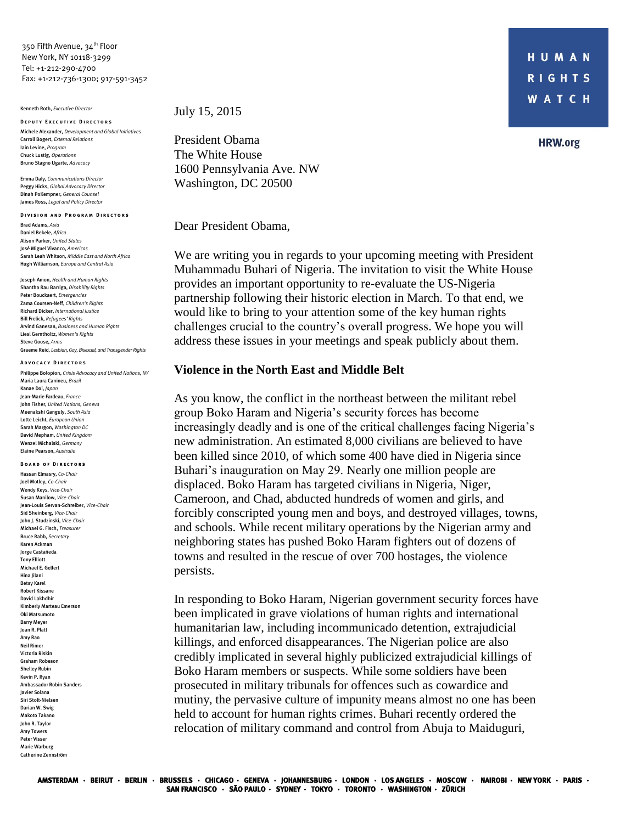350 Fifth Avenue, 34<sup>th</sup> Floor New York, NY 10118-3299 Tel: +1-212-290-4700 Fax: +1-212-736-1300; 917-591-3452

Kenneth Roth, *Executive Director*

**DEPUTY EXECUTIVE DIRECTORS** Michele Alexander, *Development and Global Initiatives*  Carroll Bogert, *External Relations* Iain Levine, *Program* Chuck Lustig, *Operations* Bruno Stagno Ugarte, *Advocacy*

Emma Daly, *Communications Director* Peggy Hicks, *Global Advocacy Director* Dinah PoKempner, *General Counsel* James Ross, *Legal and Policy Director*

**DIVISION AND PROGRAM DIRECTORS** 

Brad Adams, *Asia* Daniel Bekele, *Africa* Alison Parker, *United States* José Miguel Vivanco, *Americas* Sarah Leah Whitson, *Middle East and North Africa* Hugh Williamson, *Europe and Central Asia*

Joseph Amon, *Health and Human Rights* Shantha Rau Barriga, *Disability Rights*  Peter Bouckaert, *Emergencies* Zama Coursen-Neff, *Children's Rights* Richard Dicker, *International Justice* Bill Frelick, *Refugees' Rights* Arvind Ganesan, *Business and Human Rights* Liesl Gerntholtz, *Women's Rights* Steve Goose, *Arms*  Graeme Reid, *Lesbian, Gay, Bisexual, and Transgender Rights*

**A d v o c a c y D i r e c t o r s** Philippe Bolopion, *Crisis Advocacy and United Nations, NY* Maria Laura Canineu, *Brazil* Kanae Doi, *Japan* Jean-Marie Fardeau, *France* John Fisher, *United Nations, Geneva* Meenakshi Ganguly, *South Asia* Lotte Leicht, *European Union* Sarah Margon, *Washington DC* David Mepham, *United Kingdom* Wenzel Michalski, *Germany*  Elaine Pearson, *Australia*

**BOARD OF DIRECTORS** Hassan Elmasry, *Co-Chair* Joel Motley, *Co-Chair* Wendy Keys, *Vice-Chair*

Susan Manilow, *Vice-Chair* Jean-Louis Servan-Schreiber, *Vice-Chair* Sid Sheinberg, *Vice-Chair* John J. Studzinski, *Vice-Chair* Michael G. Fisch, *Treasurer* Bruce Rabb, *Secretary* Karen Ackman Jorge Castañeda Tony Elliott Michael E. Gellert Hina Jilani Betsy Karel Robert Kissane David Lakhdhir Kimberly Marteau Emerson Oki Matsumoto Barry Meyer Joan R. Platt Amy Rao Neil Rimer Victoria Riskin Graham Robeson Shelley Rubin Kevin P. Ryan Ambassador Robin Sanders Javier Solana Siri Stolt-Nielsen Darian W. Swig Makoto Takano John R. Taylor Amy Towers Peter Visser Marie Warburg Catherine Zennström

July 15, 2015

President Obama The White House 1600 Pennsylvania Ave. NW Washington, DC 20500

Dear President Obama,

We are writing you in regards to your upcoming meeting with President Muhammadu Buhari of Nigeria. The invitation to visit the White House provides an important opportunity to re-evaluate the US-Nigeria partnership following their historic election in March. To that end, we would like to bring to your attention some of the key human rights challenges crucial to the country's overall progress. We hope you will address these issues in your meetings and speak publicly about them.

## **Violence in the North East and Middle Belt**

As you know, the conflict in the northeast between the militant rebel group Boko Haram and Nigeria's security forces has become increasingly deadly and is one of the critical challenges facing Nigeria's new administration. An estimated 8,000 civilians are believed to have been killed since 2010, of which some 400 have died in Nigeria since Buhari's inauguration on May 29. Nearly one million people are displaced. Boko Haram has targeted civilians in Nigeria, Niger, Cameroon, and Chad, abducted hundreds of women and girls, and forcibly conscripted young men and boys, and destroyed villages, towns, and schools. While recent military operations by the Nigerian army and neighboring states has pushed Boko Haram fighters out of dozens of towns and resulted in the rescue of over 700 hostages, the violence persists.

In responding to Boko Haram, Nigerian government security forces have been implicated in grave violations of human rights and international humanitarian law, including incommunicado detention, extrajudicial killings, and enforced disappearances. The Nigerian police are also credibly implicated in several highly publicized extrajudicial killings of Boko Haram members or suspects. While some soldiers have been prosecuted in military tribunals for offences such as cowardice and mutiny, the pervasive culture of impunity means almost no one has been held to account for human rights crimes. Buhari recently ordered the relocation of military command and control from Abuja to Maiduguri,

**HRW.org**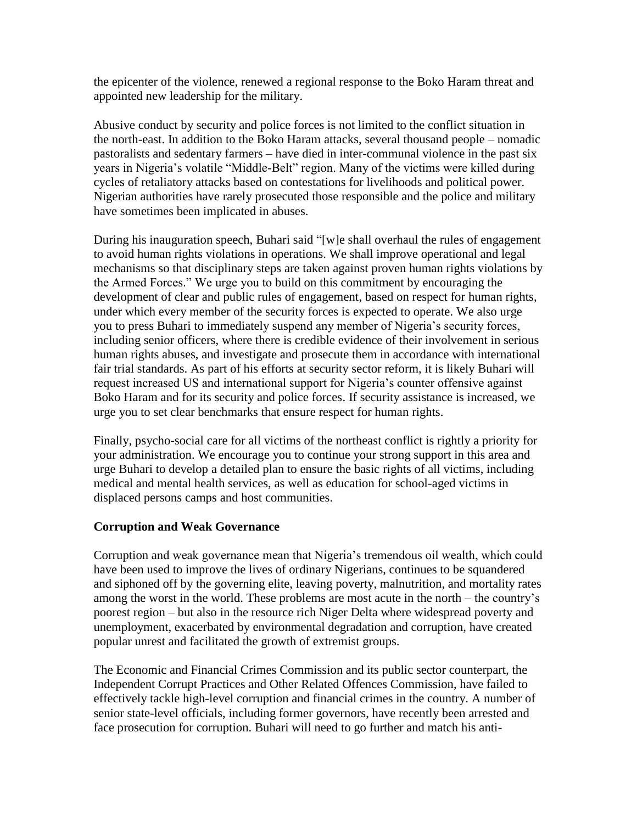the epicenter of the violence, renewed a regional response to the Boko Haram threat and appointed new leadership for the military.

Abusive conduct by security and police forces is not limited to the conflict situation in the north-east. In addition to the Boko Haram attacks, several thousand people – nomadic pastoralists and sedentary farmers – have died in inter-communal violence in the past six years in Nigeria's volatile "Middle-Belt" region. Many of the victims were killed during cycles of retaliatory attacks based on contestations for livelihoods and political power. Nigerian authorities have rarely prosecuted those responsible and the police and military have sometimes been implicated in abuses.

During his inauguration speech, Buhari said "[w]e shall overhaul the rules of engagement to avoid human rights violations in operations. We shall improve operational and legal mechanisms so that disciplinary steps are taken against proven human rights violations by the Armed Forces." We urge you to build on this commitment by encouraging the development of clear and public rules of engagement, based on respect for human rights, under which every member of the security forces is expected to operate. We also urge you to press Buhari to immediately suspend any member of Nigeria's security forces, including senior officers, where there is credible evidence of their involvement in serious human rights abuses, and investigate and prosecute them in accordance with international fair trial standards. As part of his efforts at security sector reform, it is likely Buhari will request increased US and international support for Nigeria's counter offensive against Boko Haram and for its security and police forces. If security assistance is increased, we urge you to set clear benchmarks that ensure respect for human rights.

Finally, psycho-social care for all victims of the northeast conflict is rightly a priority for your administration. We encourage you to continue your strong support in this area and urge Buhari to develop a detailed plan to ensure the basic rights of all victims, including medical and mental health services, as well as education for school-aged victims in displaced persons camps and host communities.

## **Corruption and Weak Governance**

Corruption and weak governance mean that Nigeria's tremendous oil wealth, which could have been used to improve the lives of ordinary Nigerians, continues to be squandered and siphoned off by the governing elite, leaving poverty, malnutrition, and mortality rates among the worst in the world. These problems are most acute in the north – the country's poorest region – but also in the resource rich Niger Delta where widespread poverty and unemployment, exacerbated by environmental degradation and corruption, have created popular unrest and facilitated the growth of extremist groups.

The Economic and Financial Crimes Commission and its public sector counterpart, the Independent Corrupt Practices and Other Related Offences Commission, have failed to effectively tackle high-level corruption and financial crimes in the country. A number of senior state-level officials, including former governors, have recently been arrested and face prosecution for corruption. Buhari will need to go further and match his anti-